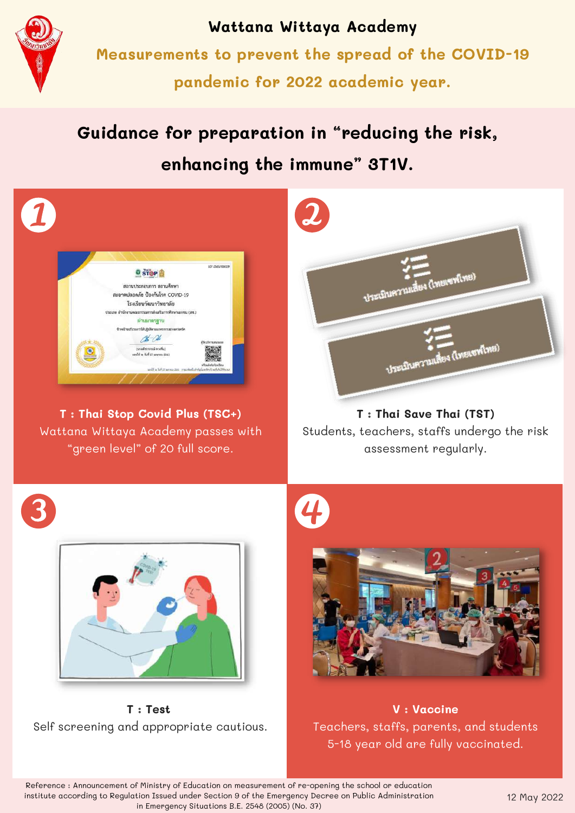

**Wattana Wittaya Academy Measurements to prevent the spread of the COVID-19 pandemic for 2022 academic year.**

# **Guidance for preparation in "reducing the risk, enhancing the immune" 3T1V.**



**T : Thai Stop Covid Plus (TSC+)** Wattana Wittaya Academy passes with "green level" of 20 full score.



**T : Thai Save Thai (TST)** Students, teachers, staffs undergo the risk assessment regularly.





**T : Test** Self screening and appropriate cautious.



**V : Vaccine** Teachers, staffs, parents, and students 5-18 year old are fully vaccinated.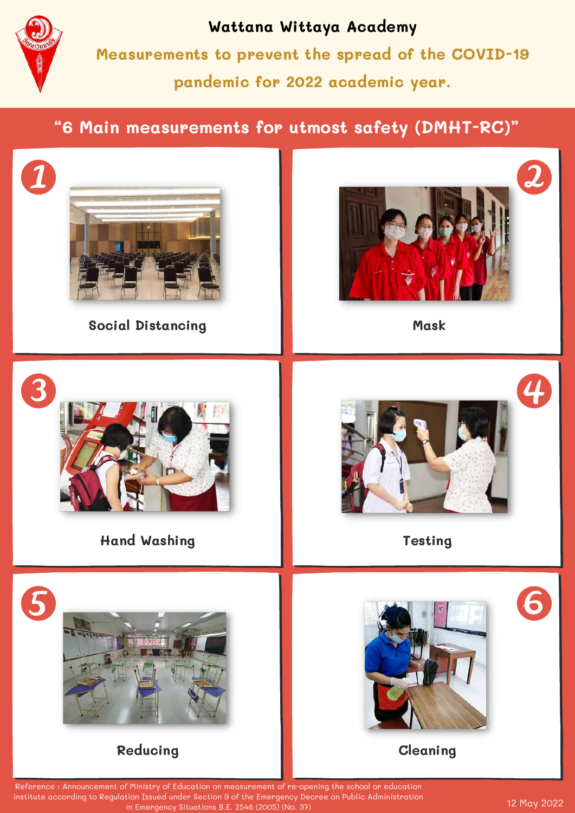

**Wattana Wittaya Academy Measurements to prevent the spread of the COVID-19 pandemic for 2022 academic year.**

# **"6 Main measurements for utmost safety (DMHT-RC)"**



in Emergency Situations B.E. 2548 (2005) (No. 37)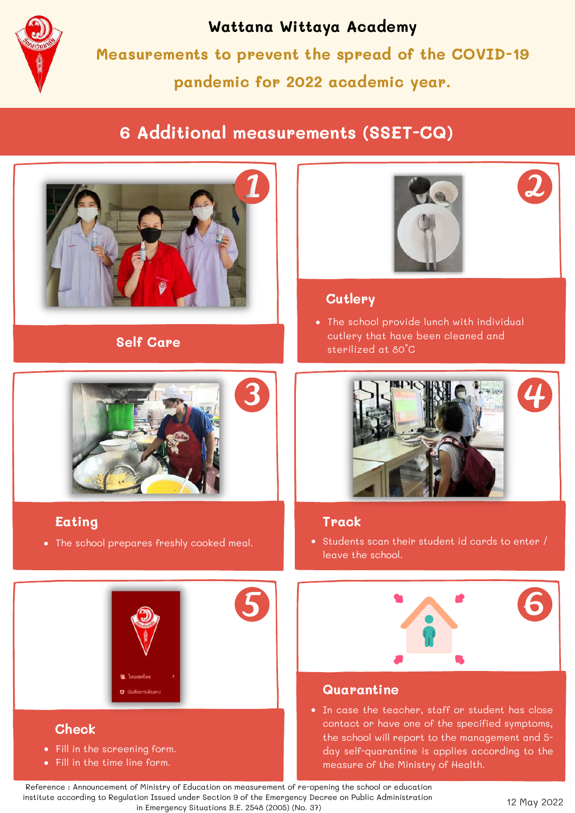

## **Wattana Wittaya Academy**

**Measurements to prevent the spread of the COVID-19 pandemic for 2022 academic year.**

# **6 Additional measurements (SSET-CQ)**



**Self Care**



#### **Eating**

The school prepares freshly cooked meal.



- Fill in the screening form.
- Fill in the time line form.





#### **Cutlery**

The school provide lunch with individual cutlery that have been cleaned and sterilized at 80°C



#### **Track**

• Students scan their student id cards to enter / leave the school.



#### **Quarantine**

In case the teacher, staff or student has close contact or have one of the specified symptoms, the school will report to the management and 5 day self-quarantine is applies according to the measure of the Ministry of Health.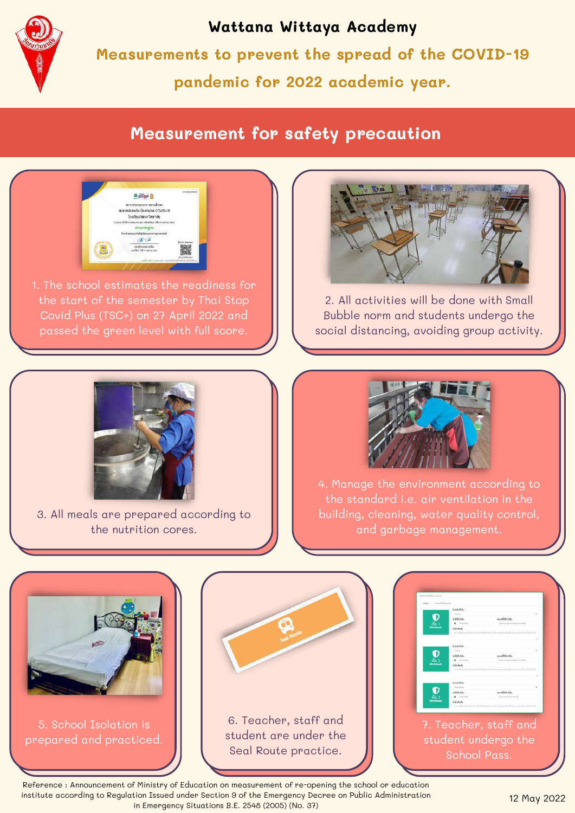

### **Wattana Wittaya Academy**

**Measurements to prevent the spread of the COVID-19 pandemic for 2022 academic year.**

# **Measurement for safety precaution**



1. The school estimates the readiness for the start of the semester by Thai Stop Covid Plus (TSC+) on 27 April 2022 and passed the green level with full score.



2. All activities will be done with Small Bubble norm and students undergo the social distancing, avoiding group activity.



3. All meals are prepared according to the nutrition cores.



4. Manage the environment according to the standard i.e. air ventilation in the building, cleaning, water quality control, and garbage management.



5. School Isolation is prepared and practiced.



| cus excelsives.<br>fichilication. |                               |  |
|-----------------------------------|-------------------------------|--|
| subalusas.                        | middatist.                    |  |
| 8 (100 mm)                        |                               |  |
| full reliable                     |                               |  |
|                                   |                               |  |
|                                   |                               |  |
| <b>Science Prints</b>             |                               |  |
| <b>Service</b>                    |                               |  |
| LEILLA                            | ALLENE A.A.                   |  |
| <b>B</b> Included                 |                               |  |
| <b>Letterdacks</b>                |                               |  |
| <b>GAARD</b><br><b>CONTRACTOR</b> |                               |  |
| turbatu tutu                      | mishMAn-tel<br>low-methodswin |  |
| $8 - 100$<br>$2.5 - 5 - 5$        |                               |  |
|                                   |                               |  |
|                                   |                               |  |
|                                   |                               |  |
|                                   | 7. Teacher, staff and         |  |
|                                   | student undergo the           |  |